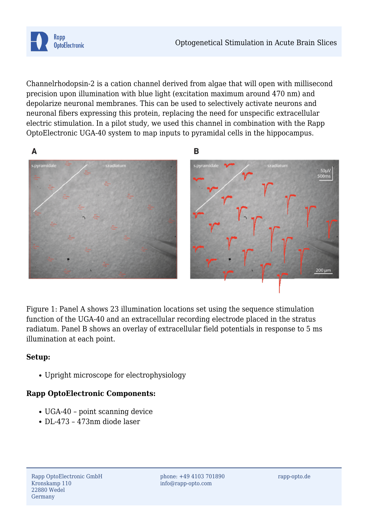

Channelrhodopsin-2 is a cation channel derived from algae that will open with millisecond precision upon illumination with blue light (excitation maximum around 470 nm) and depolarize neuronal membranes. This can be used to selectively activate neurons and neuronal fibers expressing this protein, replacing the need for unspecific extracellular electric stimulation. In a pilot study, we used this channel in combination with the Rapp OptoElectronic UGA-40 system to map inputs to pyramidal cells in the hippocampus.



Figure 1: Panel A shows 23 illumination locations set using the sequence stimulation function of the UGA-40 and an extracellular recording electrode placed in the stratus radiatum. Panel B shows an overlay of extracellular field potentials in response to 5 ms illumination at each point.

## **Setup:**

Upright microscope for electrophysiology

## **Rapp OptoElectronic Components:**

- UGA-40 point scanning device
- DL-473 473nm diode laser